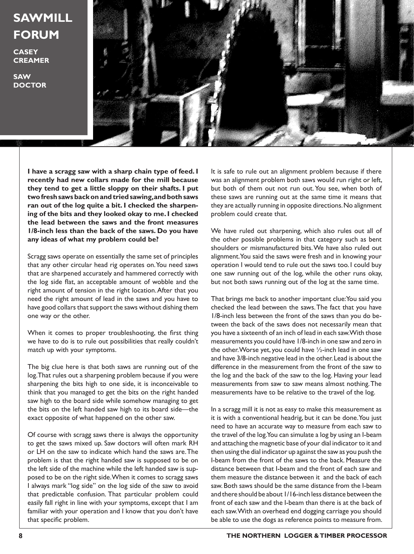## **SAWMILL FORUM**

**CASEY CREAMER**

**SAW DOCTOR**



**I have a scragg saw with a sharp chain type of feed. I recently had new collars made for the mill because they tend to get a little sloppy on their shafts. I put two fresh saws back on and tried sawing, and both saws ran out of the log quite a bit. I checked the sharpening of the bits and they looked okay to me. I checked the lead between the saws and the front measures 1/8-inch less than the back of the saws. Do you have any ideas of what my problem could be?**

Scragg saws operate on essentially the same set of principles that any other circular head rig operates on. You need saws that are sharpened accurately and hammered correctly with the log side flat, an acceptable amount of wobble and the right amount of tension in the right location. After that you need the right amount of lead in the saws and you have to have good collars that support the saws without dishing them one way or the other.

When it comes to proper troubleshooting, the first thing we have to do is to rule out possibilities that really couldn't match up with your symptoms.

The big clue here is that both saws are running out of the log. That rules out a sharpening problem because if you were sharpening the bits high to one side, it is inconceivable to think that you managed to get the bits on the right handed saw high to the board side while somehow managing to get the bits on the left handed saw high to its board side—the exact opposite of what happened on the other saw.

Of course with scragg saws there is always the opportunity to get the saws mixed up. Saw doctors will often mark RH or LH on the saw to indicate which hand the saws are. The problem is that the right handed saw is supposed to be on the left side of the machine while the left handed saw is supposed to be on the right side. When it comes to scragg saws I always mark "log side" on the log side of the saw to avoid that predictable confusion. That particular problem could easily fall right in line with your symptoms, except that I am familiar with your operation and I know that you don't have that specific problem.

It is safe to rule out an alignment problem because if there was an alignment problem both saws would run right or left, but both of them out not run out. You see, when both of these saws are running out at the same time it means that they are actually running in opposite directions. No alignment problem could create that.

We have ruled out sharpening, which also rules out all of the other possible problems in that category such as bent shoulders or mismanufactured bits. We have also ruled out alignment. You said the saws were fresh and in knowing your operation I would tend to rule out the saws too. I could buy one saw running out of the log, while the other runs okay, but not both saws running out of the log at the same time.

That brings me back to another important clue: You said you checked the lead between the saws. The fact that you have 1/8-inch less between the front of the saws than you do between the back of the saws does not necessarily mean that you have a sixteenth of an inch of lead in each saw. With those measurements you could have 1/8-inch in one saw and zero in the other. Worse yet, you could have ½-inch lead in one saw and have 3/8-inch negative lead in the other. Lead is about the difference in the measurement from the front of the saw to the log and the back of the saw to the log. Having your lead measurements from saw to saw means almost nothing. The measurements have to be relative to the travel of the log.

In a scragg mill it is not as easy to make this measurement as it is with a conventional headrig, but it can be done. You just need to have an accurate way to measure from each saw to the travel of the log. You can simulate a log by using an I-beam and attaching the magnetic base of your dial indicator to it and then using the dial indicator up against the saw as you push the I-beam from the front of the saws to the back. Measure the distance between that I-beam and the front of each saw and them measure the distance between it and the back of each saw. Both saws should be the same distance from the I-beam and there should be about 1/16-inch less distance between the front of each saw and the I-beam than there is at the back of each saw. With an overhead end dogging carriage you should be able to use the dogs as reference points to measure from.